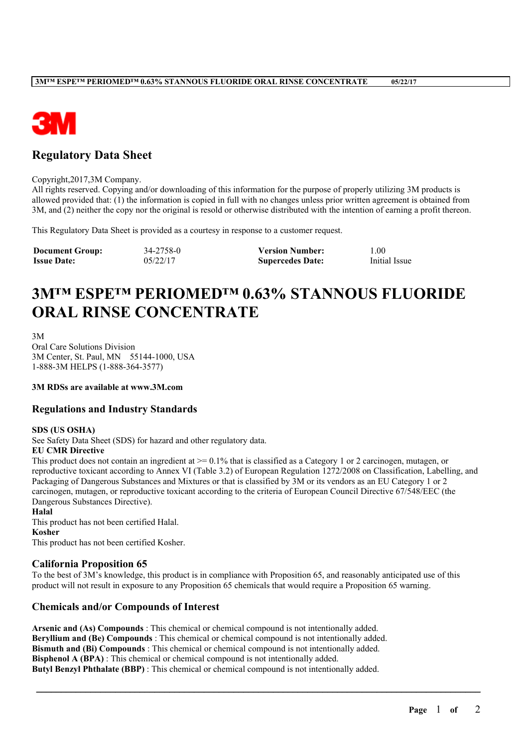

# **Regulatory Data Sheet**

#### Copyright,2017,3M Company.

All rights reserved. Copying and/or downloading of this information for the purpose of properly utilizing 3M products is allowed provided that: (1) the information is copied in full with no changes unless prior written agreement is obtained from 3M, and (2) neither the copy nor the original is resold or otherwise distributed with the intention of earning a profit thereon.

This Regulatory Data Sheet is provided as a courtesy in response to a customer request.

| <b>Document Group:</b> | 34-2758-0 | <b>Version Number:</b>  | $1.00\,$      |
|------------------------|-----------|-------------------------|---------------|
| <b>Issue Date:</b>     | 05/22/17  | <b>Supercedes Date:</b> | Initial Issue |

# **3M™ ESPE™ PERIOMED™ 0.63% STANNOUS FLUORIDE ORAL RINSE CONCENTRATE**

3M Oral Care Solutions Division 3M Center, St. Paul, MN 55144-1000, USA 1-888-3M HELPS (1-888-364-3577)

**3M RDSs are available at www.3M.com**

## **Regulations and Industry Standards**

#### **SDS (US OSHA)**

See Safety Data Sheet (SDS) for hazard and other regulatory data.

#### **EU CMR Directive**

This product does not contain an ingredient at  $\ge$  = 0.1% that is classified as a Category 1 or 2 carcinogen, mutagen, or reproductive toxicant according to Annex VI (Table 3.2) of European Regulation 1272/2008 on Classification, Labelling, and Packaging of Dangerous Substances and Mixtures or that is classified by 3M or its vendors as an EU Category 1 or 2 carcinogen, mutagen, or reproductive toxicant according to the criteria of European Council Directive 67/548/EEC (the Dangerous Substances Directive).

**Halal** This product has not been certified Halal. **Kosher**

This product has not been certified Kosher.

#### **California Proposition 65**

To the best of 3M's knowledge, this product is in compliance with Proposition 65, and reasonably anticipated use of this product will not result in exposure to any Proposition 65 chemicals that would require a Proposition 65 warning.

\_\_\_\_\_\_\_\_\_\_\_\_\_\_\_\_\_\_\_\_\_\_\_\_\_\_\_\_\_\_\_\_\_\_\_\_\_\_\_\_\_\_\_\_\_\_\_\_\_\_\_\_\_\_\_\_\_\_\_\_\_\_\_\_\_\_\_\_\_\_\_\_\_\_\_\_\_\_\_\_\_\_\_\_\_\_\_\_\_\_

## **Chemicals and/or Compounds of Interest**

**Arsenic and (As) Compounds** : This chemical or chemical compound is not intentionally added. **Beryllium and (Be) Compounds** : This chemical or chemical compound is not intentionally added. **Bismuth and (Bi) Compounds** : This chemical or chemical compound is not intentionally added. **Bisphenol A (BPA)**: This chemical or chemical compound is not intentionally added. **Butyl Benzyl Phthalate (BBP)** : This chemical or chemical compound is not intentionally added.